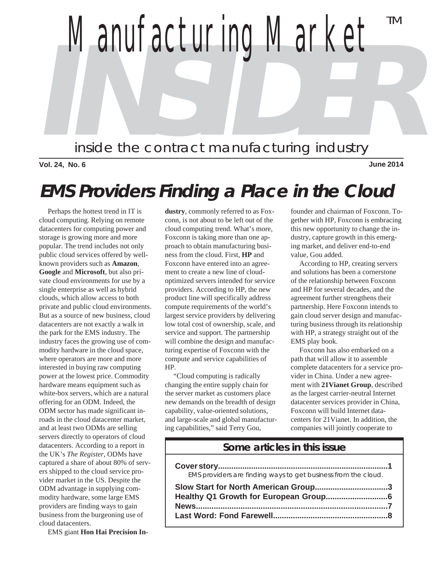

**Vol. 24, No. 6 June 2014**

# **EMS Providers Finding a Place in the Cloud**

 Perhaps the hottest trend in IT is cloud computing. Relying on remote datacenters for computing power and storage is growing more and more popular. The trend includes not only public cloud services offered by wellknown providers such as **Amazon**, **Google** and **Microsoft**, but also private cloud environments for use by a single enterprise as well as hybrid clouds, which allow access to both private and public cloud environments. But as a source of new business, cloud datacenters are not exactly a walk in the park for the EMS industry. The industry faces the growing use of commodity hardware in the cloud space, where operators are more and more interested in buying raw computing power at the lowest price. Commodity hardware means equipment such as white-box servers, which are a natural offering for an ODM. Indeed, the ODM sector has made significant inroads in the cloud datacenter market, and at least two ODMs are selling servers directly to operators of cloud datacenters. According to a report in the UK's *The Register*, ODMs have captured a share of about 80% of servers shipped to the cloud service provider market in the US. Despite the ODM advantage in supplying commodity hardware, some large EMS providers are finding ways to gain business from the burgeoning use of cloud datacenters.

EMS giant **Hon Hai Precision In-**

**dustry**, commonly referred to as Foxconn, is not about to be left out of the cloud computing trend. What's more, Foxconn is taking more than one approach to obtain manufacturing business from the cloud. First, **HP** and Foxconn have entered into an agreement to create a new line of cloudoptimized servers intended for service providers. According to HP, the new product line will specifically address compute requirements of the world's largest service providers by delivering low total cost of ownership, scale, and service and support. The partnership will combine the design and manufacturing expertise of Foxconn with the compute and service capabilities of HP.

 "Cloud computing is radically changing the entire supply chain for the server market as customers place new demands on the breadth of design capability, value-oriented solutions, and large-scale and global manufacturing capabilities," said Terry Gou,

founder and chairman of Foxconn. Together with HP, Foxconn is embracing this new opportunity to change the industry, capture growth in this emerging market, and deliver end-to-end value, Gou added.

 According to HP, creating servers and solutions has been a cornerstone of the relationship between Foxconn and HP for several decades, and the agreement further strengthens their partnership. Here Foxconn intends to gain cloud server design and manufacturing business through its relationship with HP, a strategy straight out of the EMS play book.

 Foxconn has also embarked on a path that will allow it to assemble complete datacenters for a service provider in China. Under a new agreement with **21Vianet Group**, described as the largest carrier-neutral Internet datacenter services provider in China, Foxconn will build Internet datacenters for 21Vianet. In addition, the companies will jointly cooperate to

# **Some articles in this issue**

| EMS providers are finding ways to get business from the cloud. |
|----------------------------------------------------------------|
|                                                                |
|                                                                |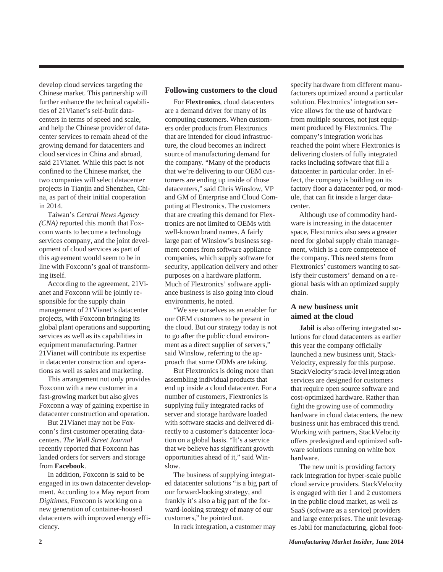develop cloud services targeting the Chinese market. This partnership will further enhance the technical capabilities of 21Vianet's self-built datacenters in terms of speed and scale, and help the Chinese provider of datacenter services to remain ahead of the growing demand for datacenters and cloud services in China and abroad, said 21Vianet. While this pact is not confined to the Chinese market, the two companies will select datacenter projects in Tianjin and Shenzhen, China, as part of their initial cooperation in 2014.

 Taiwan's *Central News Agency (CNA)* reported this month that Foxconn wants to become a technology services company, and the joint development of cloud services as part of this agreement would seem to be in line with Foxconn's goal of transforming itself.

 According to the agreement, 21Vianet and Foxconn will be jointly responsible for the supply chain management of 21Vianet's datacenter projects, with Foxconn bringing its global plant operations and supporting services as well as its capabilities in equipment manufacturing. Partner 21Vianet will contribute its expertise in datacenter construction and operations as well as sales and marketing.

 This arrangement not only provides Foxconn with a new customer in a fast-growing market but also gives Foxconn a way of gaining expertise in datacenter construction and operation.

 But 21Vianet may not be Foxconn's first customer operating datacenters. *The Wall Street Journal* recently reported that Foxconn has landed orders for servers and storage from **Facebook**.

 In addition, Foxconn is said to be engaged in its own datacenter development. According to a May report from *Digitimes*, Foxconn is working on a new generation of container-housed datacenters with improved energy efficiency.

#### **Following customers to the cloud**

 For **Flextronics**, cloud datacenters are a demand driver for many of its computing customers. When customers order products from Flextronics that are intended for cloud infrastructure, the cloud becomes an indirect source of manufacturing demand for the company. "Many of the products that we're delivering to our OEM customers are ending up inside of those datacenters," said Chris Winslow, VP and GM of Enterprise and Cloud Computing at Flextronics. The customers that are creating this demand for Flextronics are not limited to OEMs with well-known brand names. A fairly large part of Winslow's business segment comes from software appliance companies, which supply software for security, application delivery and other purposes on a hardware platform. Much of Flextronics' software appliance business is also going into cloud environments, he noted.

 "We see ourselves as an enabler for our OEM customers to be present in the cloud. But our strategy today is not to go after the public cloud environment as a direct supplier of servers," said Winslow, referring to the approach that some ODMs are taking.

 But Flextronics is doing more than assembling individual products that end up inside a cloud datacenter. For a number of customers, Flextronics is supplying fully integrated racks of server and storage hardware loaded with software stacks and delivered directly to a customer's datacenter location on a global basis. "It's a service that we believe has significant growth opportunities ahead of it," said Winslow.

 The business of supplying integrated datacenter solutions "is a big part of our forward-looking strategy, and frankly it's also a big part of the forward-looking strategy of many of our customers," he pointed out.

In rack integration, a customer may

specify hardware from different manufacturers optimized around a particular solution. Flextronics' integration service allows for the use of hardware from multiple sources, not just equipment produced by Flextronics. The company's integration work has reached the point where Flextronics is delivering clusters of fully integrated racks including software that fill a datacenter in particular order. In effect, the company is building on its factory floor a datacenter pod, or module, that can fit inside a larger datacenter.

 Although use of commodity hardware is increasing in the datacenter space, Flextronics also sees a greater need for global supply chain management, which is a core competence of the company. This need stems from Flextronics' customers wanting to satisfy their customers' demand on a regional basis with an optimized supply chain.

#### **A new business unit aimed at the cloud**

 **Jabil** is also offering integrated solutions for cloud datacenters as earlier this year the company officially launched a new business unit, Stack-Velocity, expressly for this purpose. StackVelocity's rack-level integration services are designed for customers that require open source software and cost-optimized hardware. Rather than fight the growing use of commodity hardware in cloud datacenters, the new business unit has embraced this trend. Working with partners, StackVelocity offers predesigned and optimized software solutions running on white box hardware.

 The new unit is providing factory rack integration for hyper-scale public cloud service providers. StackVelocity is engaged with tier 1 and 2 customers in the public cloud market, as well as SaaS (software as a service) providers and large enterprises. The unit leverages Jabil for manufacturing, global foot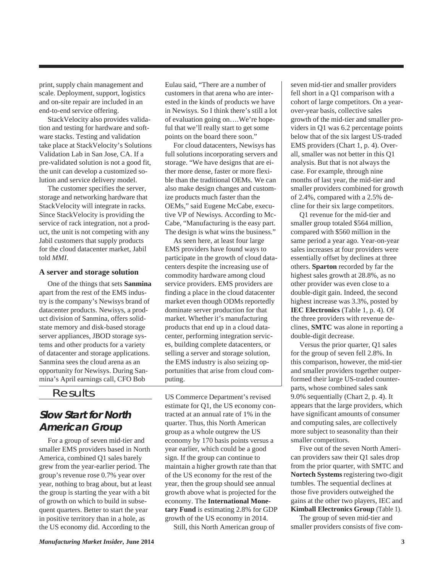print, supply chain management and scale. Deployment, support, logistics and on-site repair are included in an end-to-end service offering.

 StackVelocity also provides validation and testing for hardware and software stacks. Testing and validation take place at StackVelocity's Solutions Validation Lab in San Jose, CA. If a pre-validated solution is not a good fit, the unit can develop a customized solution and service delivery model.

 The customer specifies the server, storage and networking hardware that StackVelocity will integrate in racks. Since StackVelocity is providing the service of rack integration, not a product, the unit is not competing with any Jabil customers that supply products for the cloud datacenter market, Jabil told *MMI*.

#### **A server and storage solution**

 One of the things that sets **Sanmina** apart from the rest of the EMS industry is the company's Newisys brand of datacenter products. Newisys, a product division of Sanmina, offers solidstate memory and disk-based storage server appliances, JBOD storage systems and other products for a variety of datacenter and storage applications. Sanmina sees the cloud arena as an opportunity for Newisys. During Sanmina's April earnings call, CFO Bob

## Results

# **Slow Start for North American Group**

 For a group of seven mid-tier and smaller EMS providers based in North America, combined Q1 sales barely grew from the year-earlier period. The group's revenue rose 0.7% year over year, nothing to brag about, but at least the group is starting the year with a bit of growth on which to build in subsequent quarters. Better to start the year in positive territory than in a hole, as the US economy did. According to the

Eulau said, "There are a number of customers in that arena who are interested in the kinds of products we have in Newisys. So I think there's still a lot of evaluation going on….We're hopeful that we'll really start to get some points on the board there soon."

 For cloud datacenters, Newisys has full solutions incorporating servers and storage. "We have designs that are either more dense, faster or more flexible than the traditional OEMs. We can also make design changes and customize products much faster than the OEMs," said Eugene McCabe, executive VP of Newisys. According to Mc-Cabe, "Manufacturing is the easy part. The design is what wins the business."

 As seen here, at least four large EMS providers have found ways to participate in the growth of cloud datacenters despite the increasing use of commodity hardware among cloud service providers. EMS providers are finding a place in the cloud datacenter market even though ODMs reportedly dominate server production for that market. Whether it's manufacturing products that end up in a cloud datacenter, performing integration services, building complete datacenters, or selling a server and storage solution, the EMS industry is also seizing opportunities that arise from cloud computing.

US Commerce Department's revised estimate for Q1, the US economy contracted at an annual rate of 1% in the quarter. Thus, this North American group as a whole outgrew the US economy by 170 basis points versus a year earlier, which could be a good sign. If the group can continue to maintain a higher growth rate than that of the US economy for the rest of the year, then the group should see annual growth above what is projected for the economy. The **International Monetary Fund** is estimating 2.8% for GDP growth of the US economy in 2014.

Still, this North American group of

seven mid-tier and smaller providers fell short in a Q1 comparison with a cohort of large competitors. On a yearover-year basis, collective sales growth of the mid-tier and smaller providers in Q1 was 6.2 percentage points below that of the six largest US-traded EMS providers (Chart 1, p. 4). Overall, smaller was not better in this Q1 analysis. But that is not always the case. For example, through nine months of last year, the mid-tier and smaller providers combined for growth of 2.4%, compared with a 2.5% decline for their six large competitors.

 Q1 revenue for the mid-tier and smaller group totaled \$564 million, compared with \$560 million in the same period a year ago. Year-on-year sales increases at four providers were essentially offset by declines at three others. **Sparton** recorded by far the highest sales growth at 28.8%, as no other provider was even close to a double-digit gain. Indeed, the second highest increase was 3.3%, posted by **IEC Electronics** (Table 1, p. 4). Of the three providers with revenue declines, **SMTC** was alone in reporting a double-digit decrease.

 Versus the prior quarter, Q1 sales for the group of seven fell 2.8%. In this comparison, however, the mid-tier and smaller providers together outperformed their large US-traded counterparts, whose combined sales sank 9.0% sequentially (Chart 2, p. 4). It appears that the large providers, which have significant amounts of consumer and computing sales, are collectively more subject to seasonality than their smaller competitors.

 Five out of the seven North American providers saw their Q1 sales drop from the prior quarter, with SMTC and **Nortech Systems** registering two-digit tumbles. The sequential declines at those five providers outweighed the gains at the other two players, IEC and **Kimball Electronics Group** (Table 1).

 The group of seven mid-tier and smaller providers consists of five com-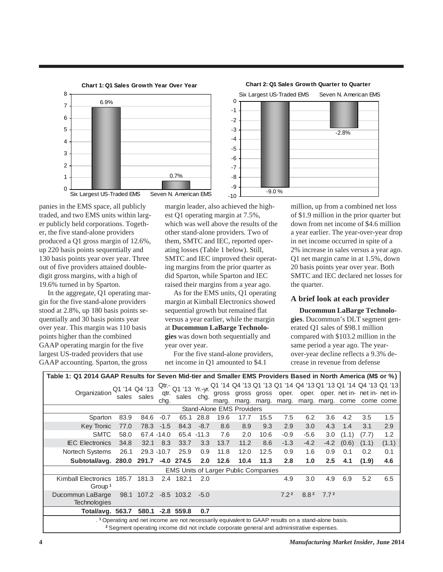

panies in the EMS space, all publicly traded, and two EMS units within larger publicly held corporations. Together, the five stand-alone providers produced a Q1 gross margin of 12.6%, up 220 basis points sequentially and 130 basis points year over year. Three out of five providers attained doubledigit gross margins, with a high of 19.6% turned in by Sparton.

 In the aggregate, Q1 operating margin for the five stand-alone providers stood at 2.8%, up 180 basis points sequentially and 30 basis points year over year. This margin was 110 basis points higher than the combined GAAP operating margin for the five largest US-traded providers that use GAAP accounting. Sparton, the gross

margin leader, also achieved the highest Q1 operating margin at 7.5%, which was well above the results of the other stand-alone providers. Two of them, SMTC and IEC, reported operating losses (Table 1 below). Still, SMTC and IEC improved their operating margins from the prior quarter as did Sparton, while Sparton and IEC raised their margins from a year ago.

 As for the EMS units, Q1 operating margin at Kimball Electronics showed sequential growth but remained flat versus a year earlier, while the margin at **Ducommun LaBarge Technologies** was down both sequentially and year over year.

 For the five stand-alone providers, net income in Q1 amounted to \$4.1



million, up from a combined net loss of \$1.9 million in the prior quarter but down from net income of \$4.6 million a year earlier. The year-over-year drop in net income occurred in spite of a 2% increase in sales versus a year ago. Q1 net margin came in at 1.5%, down 20 basis points year over year. Both SMTC and IEC declared net losses for the quarter.

#### **A brief look at each provider**

 **Ducommun LaBarge Technologies**. Ducommun's DLT segment generated Q1 sales of \$98.1 million compared with \$103.2 million in the same period a year ago. The yearover-year decline reflects a 9.3% decrease in revenue from defense

| Table 1: Q1 2014 GAAP Results for Seven Mid-tier and Smaller EMS Providers Based in North America (M\$ or %)   |      |             |               |                       |             |       |             |       |                  |                                                                |                  |                  |                                     |           |
|----------------------------------------------------------------------------------------------------------------|------|-------------|---------------|-----------------------|-------------|-------|-------------|-------|------------------|----------------------------------------------------------------|------------------|------------------|-------------------------------------|-----------|
|                                                                                                                |      |             |               | Qtr.- Q1 '13 Yr.-yr.' |             |       |             |       |                  | Q1 '14 Q4 '13 Q1 '13 Q1 '14 Q4 '13 Q1 '13 Q1 '14 Q4 '13 Q1 '13 |                  |                  |                                     |           |
| Organization Q1 '14 Q4 '13                                                                                     |      | sales sales | qtr.          | sales chg.            |             |       | gross gross | gross | oper.            |                                                                |                  |                  | oper. oper. net in- net in- net in- |           |
|                                                                                                                |      |             | chg.          |                       |             | marg. | marg.       |       | marg. marg.      |                                                                |                  | marg. marg. come |                                     | come come |
| <b>Stand-Alone EMS Providers</b>                                                                               |      |             |               |                       |             |       |             |       |                  |                                                                |                  |                  |                                     |           |
| Sparton                                                                                                        | 83.9 | 84.6        | $-0.7$        |                       | 65.1 28.8   | 19.6  | 17.7        | 15.5  | 7.5              | 6.2                                                            | 3.6              | 4.2              | 3.5                                 | 1.5       |
| <b>Key Tronic</b>                                                                                              | 77.0 |             | $78.3 -1.5$   | 84.3                  | $-8.7$      | 8.6   | 8.9         | 9.3   | 2.9              | 3.0                                                            | 4.3              | 1.4              | 3.1                                 | 2.9       |
| <b>SMTC</b>                                                                                                    | 58.0 |             | 67.4 -14.0    |                       | 65.4 - 11.3 | 7.6   | 2.0         | 10.6  | $-0.9$           | $-5.6$                                                         | 3.0              | (1.1)            | (7.7)                               | 1.2       |
| <b>IEC Electronics</b>                                                                                         | 34.8 | 32.1        | 8.3           | 33.7                  | 3.3         | 13.7  | 11.2        | 8.6   | $-1.3$           | $-4.2$                                                         | $-4.2$           | (0.6)            | (1.1)                               | (1.1)     |
| Nortech Systems                                                                                                | 26.1 |             | 29.3 - 10.7   | 25.9                  | 0.9         | 11.8  | 12.0        | 12.5  | 0.9              | 1.6                                                            | 0.9              | 0.1              | 0.2                                 | 0.1       |
| Subtotal/avg. 280.0                                                                                            |      | 291.7       |               | $-4.0$ 274.5          | 2.0         | 12.6  | 10.4        | 11.3  | 2.8              | 1.0                                                            | $2.5\phantom{0}$ | 4.1              | (1.9)                               | 4.6       |
| <b>EMS Units of Larger Public Companies</b>                                                                    |      |             |               |                       |             |       |             |       |                  |                                                                |                  |                  |                                     |           |
| Kimball Electronics 185.7 181.3                                                                                |      |             | $2.4^{\circ}$ | 182.1                 | 2.0         |       |             |       | 4.9              | 3.0                                                            | 4.9              | 6.9              | 5.2                                 | 6.5       |
| Group <sup>1</sup>                                                                                             |      |             |               |                       |             |       |             |       |                  |                                                                |                  |                  |                                     |           |
| Ducommun LaBarge                                                                                               |      | 98.1 107.2  |               | $-8.5$ 103.2          | $-5.0$      |       |             |       | 7.2 <sup>2</sup> | 8.8 <sup>2</sup>                                               | 7.7 <sup>2</sup> |                  |                                     |           |
| <b>Technologies</b>                                                                                            |      |             |               |                       |             |       |             |       |                  |                                                                |                  |                  |                                     |           |
| Total/avg. 563.7                                                                                               |      | 580.1       |               | $-2.8$ 559.8          | 0.7         |       |             |       |                  |                                                                |                  |                  |                                     |           |
| . <sup>1</sup> Operating and net income are not necessarily equivalent to GAAP results on a stand-alone basis. |      |             |               |                       |             |       |             |       |                  |                                                                |                  |                  |                                     |           |
| <sup>2</sup> Segment operating income did not include corporate general and administrative expenses.           |      |             |               |                       |             |       |             |       |                  |                                                                |                  |                  |                                     |           |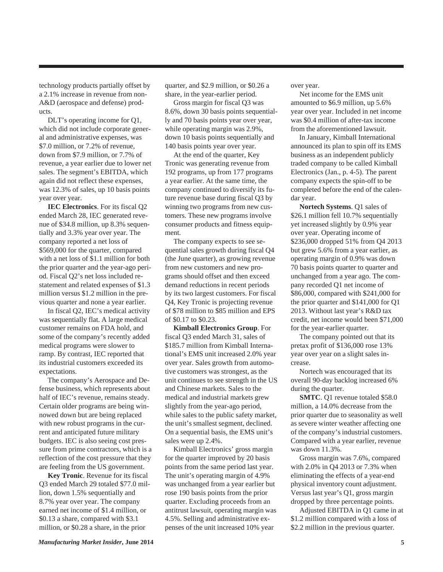technology products partially offset by a 2.1% increase in revenue from non-A&D (aerospace and defense) products.

 DLT's operating income for Q1, which did not include corporate general and administrative expenses, was \$7.0 million, or 7.2% of revenue, down from \$7.9 million, or 7.7% of revenue, a year earlier due to lower net sales. The segment's EBITDA, which again did not reflect these expenses, was 12.3% of sales, up 10 basis points year over year.

 **IEC Electronics**. For its fiscal Q2 ended March 28, IEC generated revenue of \$34.8 million, up 8.3% sequentially and 3.3% year over year. The company reported a net loss of \$569,000 for the quarter, compared with a net loss of \$1.1 million for both the prior quarter and the year-ago period. Fiscal Q2's net loss included restatement and related expenses of \$1.3 million versus \$1.2 million in the previous quarter and none a year earlier.

 In fiscal Q2, IEC's medical activity was sequentially flat. A large medical customer remains on FDA hold, and some of the company's recently added medical programs were slower to ramp. By contrast, IEC reported that its industrial customers exceeded its expectations.

 The company's Aerospace and Defense business, which represents about half of IEC's revenue, remains steady. Certain older programs are being winnowed down but are being replaced with new robust programs in the current and anticipated future military budgets. IEC is also seeing cost pressure from prime contractors, which is a reflection of the cost pressure that they are feeling from the US government.

 **Key Tronic**. Revenue for its fiscal Q3 ended March 29 totaled \$77.0 million, down 1.5% sequentially and 8.7% year over year. The company earned net income of \$1.4 million, or \$0.13 a share, compared with \$3.1 million, or \$0.28 a share, in the prior

quarter, and \$2.9 million, or \$0.26 a share, in the year-earlier period.

 Gross margin for fiscal Q3 was 8.6%, down 30 basis points sequentially and 70 basis points year over year, while operating margin was 2.9%, down 10 basis points sequentially and 140 basis points year over year.

 At the end of the quarter, Key Tronic was generating revenue from 192 programs, up from 177 programs a year earlier. At the same time, the company continued to diversify its future revenue base during fiscal Q3 by winning two programs from new customers. These new programs involve consumer products and fitness equipment.

 The company expects to see sequential sales growth during fiscal Q4 (the June quarter), as growing revenue from new customers and new programs should offset and then exceed demand reductions in recent periods by its two largest customers. For fiscal Q4, Key Tronic is projecting revenue of \$78 million to \$85 million and EPS of \$0.17 to \$0.23.

 **Kimball Electronics Group**. For fiscal Q3 ended March 31, sales of \$185.7 million from Kimball International's EMS unit increased 2.0% year over year. Sales growth from automotive customers was strongest, as the unit continues to see strength in the US and Chinese markets. Sales to the medical and industrial markets grew slightly from the year-ago period, while sales to the public safety market, the unit's smallest segment, declined. On a sequential basis, the EMS unit's sales were up 2.4%.

 Kimball Electronics' gross margin for the quarter improved by 20 basis points from the same period last year. The unit's operating margin of 4.9% was unchanged from a year earlier but rose 190 basis points from the prior quarter. Excluding proceeds from an antitrust lawsuit, operating margin was 4.5%. Selling and administrative expenses of the unit increased 10% year

over year.

 Net income for the EMS unit amounted to \$6.9 million, up 5.6% year over year. Included in net income was \$0.4 million of after-tax income from the aforementioned lawsuit.

 In January, Kimball International announced its plan to spin off its EMS business as an independent publicly traded company to be called Kimball Electronics (Jan., p. 4-5). The parent company expects the spin-off to be completed before the end of the calendar year.

 **Nortech Systems**. Q1 sales of \$26.1 million fell 10.7% sequentially yet increased slightly by 0.9% year over year. Operating income of \$236,000 dropped 51% from Q4 2013 but grew 5.6% from a year earlier, as operating margin of 0.9% was down 70 basis points quarter to quarter and unchanged from a year ago. The company recorded Q1 net income of \$86,000, compared with \$241,000 for the prior quarter and \$141,000 for Q1 2013. Without last year's R&D tax credit, net income would been \$71,000 for the year-earlier quarter.

 The company pointed out that its pretax profit of \$136,000 rose 13% year over year on a slight sales increase.

 Nortech was encouraged that its overall 90-day backlog increased 6% during the quarter.

 **SMTC**. Q1 revenue totaled \$58.0 million, a 14.0% decrease from the prior quarter due to seasonality as well as severe winter weather affecting one of the company's industrial customers. Compared with a year earlier, revenue was down 11.3%.

 Gross margin was 7.6%, compared with 2.0% in Q4 2013 or 7.3% when eliminating the effects of a year-end physical inventory count adjustment. Versus last year's Q1, gross margin dropped by three percentage points.

 Adjusted EBITDA in Q1 came in at \$1.2 million compared with a loss of \$2.2 million in the previous quarter.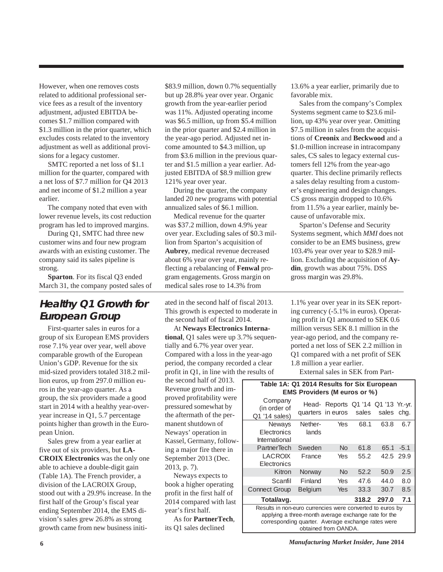However, when one removes costs related to additional professional service fees as a result of the inventory adjustment, adjusted EBITDA becomes \$1.7 million compared with \$1.3 million in the prior quarter, which excludes costs related to the inventory adjustment as well as additional provisions for a legacy customer.

 SMTC reported a net loss of \$1.1 million for the quarter, compared with a net loss of \$7.7 million for Q4 2013 and net income of \$1.2 million a year earlier.

 The company noted that even with lower revenue levels, its cost reduction program has led to improved margins.

 During Q1, SMTC had three new customer wins and four new program awards with an existing customer. The company said its sales pipeline is strong.

 **Sparton**. For its fiscal Q3 ended March 31, the company posted sales of

# **Healthy Q1 Growth for European Group**

 First-quarter sales in euros for a group of six European EMS providers rose 7.1% year over year, well above comparable growth of the European Union's GDP. Revenue for the six mid-sized providers totaled 318.2 million euros, up from 297.0 million euros in the year-ago quarter. As a group, the six providers made a good start in 2014 with a healthy year-overyear increase in Q1, 5.7 percentage points higher than growth in the European Union.

 Sales grew from a year earlier at five out of six providers, but **LA-CROIX Electronics** was the only one able to achieve a double-digit gain (Table 1A). The French provider, a division of the LACROIX Group, stood out with a 29.9% increase. In the first half of the Group's fiscal year ending September 2014, the EMS division's sales grew 26.8% as strong growth came from new business initi-

\$83.9 million, down 0.7% sequentially but up 28.8% year over year. Organic growth from the year-earlier period was 11%. Adjusted operating income was \$6.5 million, up from \$5.4 million in the prior quarter and \$2.4 million in the year-ago period. Adjusted net income amounted to \$4.3 million, up from \$3.6 million in the previous quarter and \$1.5 million a year earlier. Adjusted EBITDA of \$8.9 million grew 121% year over year.

 During the quarter, the company landed 20 new programs with potential annualized sales of \$6.1 million.

 Medical revenue for the quarter was \$37.2 million, down 4.9% year over year. Excluding sales of \$0.3 million from Sparton's acquisition of **Aubrey**, medical revenue decreased about 6% year over year, mainly reflecting a rebalancing of **Fenwal** program engagements. Gross margin on medical sales rose to 14.3% from

ated in the second half of fiscal 2013. This growth is expected to moderate in the second half of fiscal 2014.

 At **Neways Electronics International**, Q1 sales were up 3.7% sequentially and 6.7% year over year. Compared with a loss in the year-ago period, the company recorded a clear profit in Q1, in line with the results of

the second half of 2013. Revenue growth and improved profitability were pressured somewhat by the aftermath of the permanent shutdown of Neways' operation in Kassel, Germany, following a major fire there in September 2013 (Dec. 2013, p. 7).

 Neways expects to book a higher operating profit in the first half of 2014 compared with last year's first half.

 As for **PartnerTech**, its Q1 sales declined

13.6% a year earlier, primarily due to favorable mix.

 Sales from the company's Complex Systems segment came to \$23.6 million, up 43% year over year. Omitting \$7.5 million in sales from the acquisitions of **Creonix** and **Beckwood** and a \$1.0-million increase in intracompany sales, CS sales to legacy external customers fell 12% from the year-ago quarter. This decline primarily reflects a sales delay resulting from a customer's engineering and design changes. CS gross margin dropped to 10.6% from 11.5% a year earlier, mainly because of unfavorable mix.

 Sparton's Defense and Security Systems segment, which *MMI* does not consider to be an EMS business, grew 103.4% year over year to \$28.9 million. Excluding the acquisition of **Aydin**, growth was about 75%. DSS gross margin was 29.8%.

1.1% year over year in its SEK reporting currency (-5.1% in euros). Operating profit in Q1 amounted to SEK 0.6 million versus SEK 8.1 million in the year-ago period, and the company reported a net loss of SEK 2.2 million in Q1 compared with a net profit of SEK 1.8 million a year earlier.

External sales in SEK from Part-

#### **Table 1A: Q1 2014 Results for Six European EMS Providers (M euros or %)**

| Company<br>(in order of<br>Q1 '14 sales)                                                                                                                                | Head-<br>quarters in euros | Reports Q1 '14 Q1 '13 Yr.-yr. | sales | sales | chg.   |  |
|-------------------------------------------------------------------------------------------------------------------------------------------------------------------------|----------------------------|-------------------------------|-------|-------|--------|--|
| Neways<br>Electronics<br>International                                                                                                                                  | Nether-<br>lands           | Yes                           | 68.1  | 63.8  | 6.7    |  |
| PartnerTech                                                                                                                                                             | Sweden                     | <b>No</b>                     | 61.8  | 65.1  | $-5.1$ |  |
| <b>LACROIX</b><br>Electronics                                                                                                                                           | France                     | Yes                           | 55.2  | 42.5  | 29.9   |  |
| Kitron                                                                                                                                                                  | Norway                     | <b>No</b>                     | 52.2  | 50.9  | 2.5    |  |
| Scanfil                                                                                                                                                                 | Finland                    | Yes                           | 47.6  | 44.0  | 8.0    |  |
| <b>Connect Group</b>                                                                                                                                                    | <b>Belgium</b>             | Yes                           | 33.3  | 30.7  | 8.5    |  |
| Total/avg.                                                                                                                                                              |                            |                               | 318.2 | 297.0 | 7.1    |  |
| Results in non-euro currencies were converted to euros by<br>applying a three-month average exchange rate for the<br>corresponding quarter. Average exchange rates were |                            |                               |       |       |        |  |

obtained from OANDA.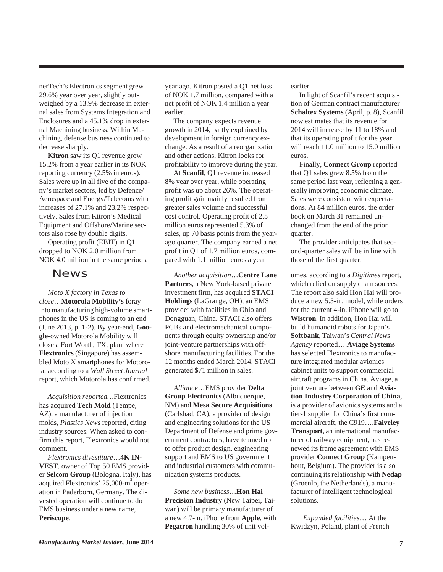nerTech's Electronics segment grew 29.6% year over year, slightly outweighed by a 13.9% decrease in external sales from Systems Integration and Enclosures and a 45.1% drop in external Machining business. Within Machining, defense business continued to decrease sharply.

 **Kitron** saw its Q1 revenue grow 15.2% from a year earlier in its NOK reporting currency (2.5% in euros). Sales were up in all five of the company's market sectors, led by Defence/ Aerospace and Energy/Telecoms with increases of 27.1% and 23.2% respectively. Sales from Kitron's Medical Equipment and Offshore/Marine sectors also rose by double digits.

 Operating profit (EBIT) in Q1 dropped to NOK 2.0 million from NOK 4.0 million in the same period a

### News

 *Moto X factory in Texas to close*…**Motorola Mobility's** foray into manufacturing high-volume smartphones in the US is coming to an end (June 2013, p. 1-2). By year-end, **Google**-owned Motorola Mobility will close a Fort Worth, TX, plant where **Flextronics** (Singapore) has assembled Moto X smartphones for Motorola, according to a *Wall Street Journal* report, which Motorola has confirmed.

 *Acquisition reported…*Flextronics has acquired **Tech Mold** (Tempe, AZ), a manufacturer of injection molds, *Plastics News* reported, citing industry sources. When asked to confirm this report, Flextronics would not comment.

 *Flextronics divestiture*…**4K IN-VEST**, owner of Top 50 EMS provider **Selcom Group** (Bologna, Italy), has acquired Flextronics' 25,000-m<sup>2</sup> operation in Paderborn, Germany. The divested operation will continue to do EMS business under a new name, **Periscope**.

year ago. Kitron posted a Q1 net loss of NOK 1.7 million, compared with a net profit of NOK 1.4 million a year earlier.

 The company expects revenue growth in 2014, partly explained by development in foreign currency exchange. As a result of a reorganization and other actions, Kitron looks for profitability to improve during the year.

 At **Scanfil**, Q1 revenue increased 8% year over year, while operating profit was up about 26%. The operating profit gain mainly resulted from greater sales volume and successful cost control. Operating profit of 2.5 million euros represented 5.3% of sales, up 70 basis points from the yearago quarter. The company earned a net profit in Q1 of 1.7 million euros, compared with 1.1 million euros a year

 *Another acquisition*…**Centre Lane Partners**, a New York-based private investment firm, has acquired **STACI Holdings** (LaGrange, OH), an EMS provider with facilities in Ohio and Dongguan, China. STACI also offers PCBs and electromechanical components through equity ownership and/or joint-venture partnerships with offshore manufacturing facilities. For the 12 months ended March 2014, STACI generated \$71 million in sales.

 *Alliance*…EMS provider **Delta Group Electronics** (Albuquerque, NM) and **Mesa Secure Acquisitions** (Carlsbad, CA), a provider of design and engineering solutions for the US Department of Defense and prime government contractors, have teamed up to offer product design, engineering support and EMS to US government and industrial customers with communication systems products.

 *Some new business*…**Hon Hai Precision Industry** (New Taipei, Taiwan) will be primary manufacturer of a new 4.7-in. iPhone from **Apple**, with **Pegatron** handling 30% of unit volearlier.

 In light of Scanfil's recent acquisition of German contract manufacturer **Schaltex Systems** (April, p. 8), Scanfil now estimates that its revenue for 2014 will increase by 11 to 18% and that its operating profit for the year will reach 11.0 million to 15.0 million euros.

 Finally, **Connect Group** reported that Q1 sales grew 8.5% from the same period last year, reflecting a generally improving economic climate. Sales were consistent with expectations. At 84 million euros, the order book on March 31 remained unchanged from the end of the prior quarter.

 The provider anticipates that second-quarter sales will be in line with those of the first quarter.

umes, according to a *Digitimes* report, which relied on supply chain sources. The report also said Hon Hai will produce a new 5.5-in. model, while orders for the current 4-in. iPhone will go to **Wistron**. In addition, Hon Hai will build humanoid robots for Japan's **Softbank**, Taiwan's *Central News Agency* reported….**Aviage Systems** has selected Flextronics to manufacture integrated modular avionics cabinet units to support commercial aircraft programs in China. Aviage, a joint venture between **GE** and **Aviation Industry Corporation of China**, is a provider of avionics systems and a tier-1 supplier for China's first commercial aircraft, the C919….**Faiveley Transport**, an international manufacturer of railway equipment, has renewed its frame agreement with EMS provider **Connect Group** (Kampenhout, Belgium). The provider is also continuing its relationship with **Nedap** (Groenlo, the Netherlands), a manufacturer of intelligent technological solutions.

 *Expanded facilities*… At the Kwidzyn, Poland, plant of French